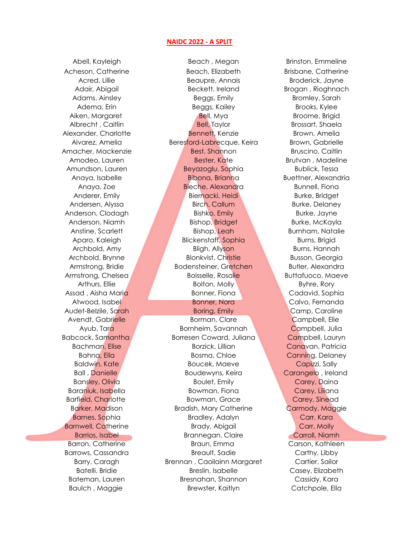## NAIDC 2022 - A SPLIT

Acheson, Catherine **Beach, Elizabeth** Brisbane, Catherine Acred, Lillie Beaupre, Annais Broderick, Jayne Adair, Abigail **Beckett, Ireland** Brogan , Rioghnach Adams, Ainsley **Brown Brown** Beggs, Emily Bromley, Sarah Adema, Erin Beggs, Kailey Brooks, Kylee Aiken, Margaret **Bell, Mya Broome, Brigid** Broome, Brigid Albrecht , Caitlin **Bell, Taylor** Bell, Taylor Brossart, Shaela Alexander, Charlotte Bennett, Kenzie Brown, Amelia Alvarez, Amelia **Beresford-Labrecque, Keira** Brown, Gabrielle Amacher, Mackenzie Best, Shannon Bruscino, Caitlin Amodeo, Lauren Bester, Kate Brutvan , Madeline Amundson, Lauren **Beyazoglu, Sophia** Bublick, Tessa Anaya, Isabelle **Bibona, Brianna** Buettner, Alexandria Anaya, Zoe **Bieche, Alexandra Bunnell, Fiona** Anderer, Emily Biernacki, Heidi Burke, Bridget Andersen, Alyssa Birch, Callum Burke, Delaney Anderson, Clodagh Bishko, Emily Burke, Jayne Anderson, Niamh Bishop, Bridget Burke, McKayla Anstine, Scarlett **Bishop, Leah Burnham, Natalie** Aparo, Kaleigh Blickenstaff, Sophia Burns, Brigid Archbold, Amy Bligh, Allyson Burns, Hannah Archbold, Brynne Blonkvist, Christie Busson, Georgia Armstrong, Bridie **Bodensteiner, Gretchen Butler, Alexandra** Armstrong, Chelsea **Boisselle, Rosalie Buttafuoco, Maeve** Arthurs, Ellie **Bolton, Molly Byhre, Rory** Bolton, Molly Byhre, Rory Assad , Aisha Maria Bonner, Fiona Cadavid, Sophia Atwood, Isabel **Bonner, Nora Calvo, Fernanda** Audet-Belzile, Sarah **Borton, Emily Camp, Caroline** Borton, Caroline Borton, Camp, Caroline Avendt, Gabrielle **Borman, Clare Campbell, Elie** Borman, Clare Campbell, Elie Ayub, Tara Bornheim, Savannah Campbell, Julia Babcock, Samantha **Borresen Coward, Juliana Campbell**, Lauryn Bachman, Elise Borzick, Lillian Canavan, Patricia Bahna, Ella Bosma, Chloe Canning, Delaney

Baldwin, Kate **Boucek, Maeve** Boucek, Maeve **Capizzi**, Sally Ball , Danielle **Boudewyns, Keira Carangelo , Ireland** Bansley, Olivia **Boulet, Emily Carey, Daina** Baraniuk, Isabella Bowman, Fiona Carey, Liliana Bowman, Fiona Barfield, Charlotte **Bowman, Grace** Carey, Sinead Barker, Madison **Bradish, Mary Catherine** Carmody, Maggie Barnes, Sophia **Bradley, Adalyn** Carr, Kara Barnwell, Catherine **Brady, Abigail** Carr, Molly Barrios, Isabel **Brannegan, Claire** Carroll, Niamh Barron, Catherine **Braun, Emma** Carson, Kathleen Barrows, Cassandra Breault, Sadie Carthy, Libby Barry, Caragh **Brennan**, Caoilainn Margaret **Cartier**, Sailor Batelli, Bridie **Breslin, Isabelle Casey, Elizabeth** Bateman, Lauren Bresnahan, Shannon Cassidy, Kara Baulch , Maggie The Brewster, Kaitlyn Catchpole, Ella

Abell, Kayleigh Beach, Megan Brinston, Emmeline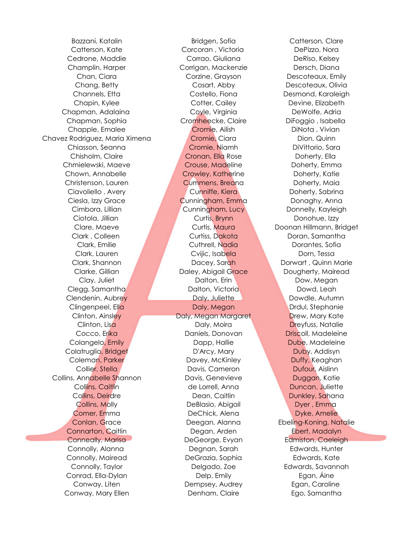Cedrone, Maddie Corrao, Giuliana DeRiso, Kelsey Champlin, Harper Corrigan, Mackenzie Dersch, Diana Chapman, Adalaina Coyle, Virginia DeWolfe, Adria Chapman, Sophia Cromheecke, Claire DiFoggio , Isabella Chapple, Emalee Cromie, Ailish DiNota , Vivian Chavez Rodriguez, Maria Ximena Cromie, Ciara Cromie, Ciara Dion, Quinn Chiasson, Seanna Cromie, Niamh DiVittorio, Sara Chmielewski, Maeve Crouse, Madeline Doherty, Emma Chown, Annabelle **Crowley, Katherine** Doherty, Katie Christenson, Lauren Cummens, Breana Doherty, Maia Ciavoliello , Avery **Cunniffe**, Kiera **Doherty, Sabrina** Ciesla, Izzy Grace Cunningham, Emma Donaghy, Anna Clegg, Samantha Dalton, Victoria Dowd, Leah Clendenin, Aubrey **Daly, Juliette Dansen and Dowdle**, Autumn Clingenpeel, Ella Daly, Megan Drdul, Stephanie Colangelo, Emily **Dapp, Hallie Republic Colangelo, Emily** Dapp, Hallie **Dube**, Madeleine Colatruglio, Bridget **D'Arcy, Mary D'Arcy, Mary Duby, Addisyn** Coleman, Parker **Davey, McKinley Coleman, Parker Pulle** Davey, McKinley **Duffy, Keaghan** Collins, Annabelle Shannon Davis, Genevieve Duggan, Katie Connarton, Caitlin Degan, Arden Ebert, Madalyn Conneally, Marisa **DeGeorge, Exyan** Edmiston, Caeleigh Connolly, Alanna Degnan, Sarah Edwards, Hunter Connolly, Mairead DeGrazia, Sophia Edwards, Kate Conrad, Ella-Dylan Delp, Emily Egan, Áine Conway, Mary Ellen Denham, Claire Ego, Samantha

Bazzani, Katalin alikuwa kutoka Bridgen, Sofia kata Catterson, Clare Catterson, Kate Corcoran , Victoria DePizzo, Nora Chan, Ciara Corzine, Grayson Descoteaux, Emily Chang, Betty Cosart, Abby Descoteaux, Olivia Channels, Etta Costello, Fiona Desmond, Karaleigh Chapin, Kylee Cotter, Cailey Communic Devine, Elizabeth Chisholm, Claire Cronan, Ella Rose Doherty, Ella Cimbora, Lillian Cunningham, Lucy Donnelly, Kayleigh Ciotola, Jillian Curtis, Brynn Donohue, Izzy Clark , Colleen Curtiss, Dakota Doran, Samantha Clark, Emilie Cuthrell, Nadia Dorantes, Sofia Clark, Lauren **Critic, Isabela Dorn, Tessa** Clark, Shannon Dacey, Sarah Dorwart , Quinn Marie Clarke, Gillian **Daley, Abigail Grace** Dougherty, Mairead Clay, Juliet **Dalton, Erin Dalton, Erin Dow, Megan** Clinton, Ainsley **Daly, Megan Margaret Drew**, Mary Kate Clinton, Lisa **Daly, Moira** Daly, Moira **Dreyfuss, Natalie** Cocco, Erika **Daniels, Donovan Driscoll, Madeleine** Collie<mark>r, Stella Navigation Collier, Stella Navigation Dufour, Aislinn</mark> Collins, Caitlin de Lorrell, Anna Duncan, Juliette Collins, Deirdre **Dean, Caitlin** Dean, Dunkley, Sahana Collins, Molly **DeBlasio, Abigail Dyer, Emma** Comer, Emma **DeChick, Alena** DeChick, Alena Dyke, Amelie Conlan, Grace Deegan, Alanna Ebeling-Koning, Natalie Connolly, Taylor Delgado, Zoe Edwards, Savannah Conway, Liten Dempsey, Audrey Egan, Caroline

Clare, Maeve Curtis, Maura Doonan Hillmann, Bridget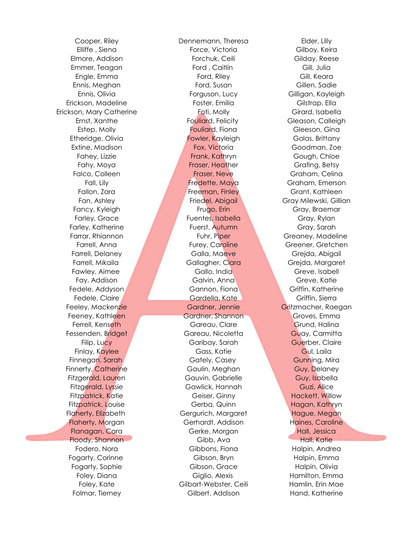Erickson, Mary Catherine **Foti, Molly Constructs** Girard, Isabella

Cooper, Riley Dennemann, Theresa Elder, Lilly Elliffe , Siena Force, Victoria Gilboy, Keira Elmore, Addison Forchuk, Ceili Gilday, Reese Emmer, Teagan **Ford , Caitlin** Gill, Julia Gill, Julia Engle, Emma Ford, Riley Ford, Riley Gill, Keara Ennis, Meghan Ford, Susan Gillen, Sadie Ennis, Olivia Forguson, Lucy Gilligan, Kayleigh Erickson, Madeline Foster, Emilia Gilstrap, Ella Ernst, Xanthe **Fouliard, Felicity** Gleason, Calleigh Estep, Molly **External Fouliard**, Fiona **Gleeson, Gina** Etheridge, Olivia **Fowler, Kayleigh Golas, Brittany** Extine, Madison **Fox, Victoria Goodman, Zoe** Fox, Victoria Goodman, Zoe Fahey, Lizzie **Frank, Kathryn Gough, Chloe** Fahy, Moya **Fraser, Heather Grafing, Betsy** Grafing, Betsy Falco, Colleen **Fraser, Neve** Graham, Celina Fall, Lily Fredette, Maya Graham, Emerson Fallon, Zara **Freeman, Finley Grant, Kathleen** Fan, Ashley **Friedel, Abigail Gray Milewski, Gillian** Fancy, Kyleigh **Frugo, Erin Gray, Braemar** Frugo, Erin Gray, Braemar Farley, Grace **Fuentes, Isabella Gray, Rylan** Farley, Katherine **Fuerst, Autumn** Gray, Sarah Farrar, Rhiannon **Fuhr, Piper Greaney, Madeline** Farrell, Anna **Furey, Caroline Greener, Gretchen** Farrell, Delaney **Galla, Maeve Green Green, Green, Green** Green, Abigail Farrell, Mikaila Gallagher, Ciara Grejda, Margaret Fawley, Aimee Gallo, India Greve, Isabell Fay, Addison Galvin, Anna Greve, Katie Fedele, Addyson Gannon, Fiona Gannon, Fiona Griffin, Katherine Fedele, Claire Gardella, Kate Griffin, Sierra Feeley, Mackenzie Gardner, Jennie Gritzmacher, Raegan Feeney, Kathleen **Gardner, Shannon** Groves, Emma Ferrell, Kenseth Gareau, Clare Grund, Halina Fessenden, Bridget Gareau, Nicoletta Guay, Carmitta Filip, Lucy Garibay, Sarah Guerber, Claire Finlay, Kaylee Gass, Katie Gul, Laila Finnegan, Sarah **Gately, Casey Gunning, Mira** Finnerty, Catherine **Gaulin, Meghan** Guy, Delaney Fitzgerald, Lauren Gauvin, Gabrielle Guy, Isabella Fitzgerald, Lyssie Gawlick, Hannah Guzi, Alice Fitzpatrick, Katie **Geiser, Ginny Hackett, Willow** Geiser, Ginny Fitzpatrick, Louise **Gerba, Gerba, Quinn** Hagan, Kathryn Flaherty, Elizabeth **Gergurich, Margaret** Hague, Megan Flaherty, Morgan **Gerhardt, Addison** Haines, Caroline Flanagan, Cara Gerke, Morgan Hall, Jessica Floody, Shannon Gibb, Ava Hall, Katie Fodero, Nora Gibbons, Fiona Halpin, Andrea Fogarty, Corinne Gibson, Bryn Halpin, Emma Fogarty, Sophie Gibson, Grace Halpin, Olivia Foley, Diana Giglio, Alexis Hamilton, Emma Foley, Kate Gilbart-Webster, Ceili Hamlin, Erin Mae Folmar, Tierney **Gilbert, Addison** Hand, Katherine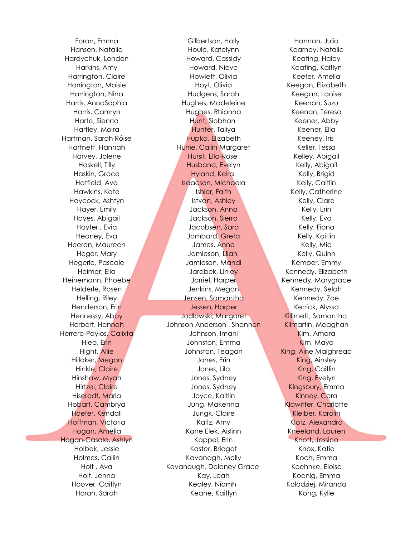Hansen, Natalie Houle, Katelynn Kearney, Natalie Hardychuk, London **Howard, Cassidy Keating, Haley** Keating, Haley Harkins, Amy Howard, Nieve Keating, Kaitlyn Harrington, Claire **Howlett, Olivia** Keefer, Amelia Harrington, Maisie Hoyt, Olivia Keegan, Elizabeth Harrington, Nina Hudgens, Sarah Keegan, Laoise Harris, AnnaSophia Hughes, Madeleine Keenan, Suzu Harris, Camryn Hughes, Rhianna Keenan, Teresa Harte, Sienna Hunt, Siobhan Keener, Abby Hartley, Moira **Hunter, Taliya** Keener, Ella Hartman, Sarah Róise **Hupka, Elizabeth Keeney, Iris** Hartnett, Hannah Hurrie, Cailin Margaret Keller, Tessa Harvey, Jolene **Hursit, Ella-Rose** Kelley, Abigail Haskell, Tilly **Husband, Evelyn Kelly, Abigail** Haskin, Grace **Hyland, Keira Kelly, Brigid** Haskin, Grace Hatfield, Ava **Isaacson, Michaela** Kelly, Caitlin Hawkins, Kate **Ishler, Faith Kelly, Catherine** Haycock, Ashtyn Istvan, Ashley Kelly, Clare Hayer, Emily Jackson, Anna Kelly, Erin Hayes, Abigail **Hayes, Abigail Martin Access Abigail** Jackson, Sierra New York Kelly, Eva Hayter , Evia **Markt Accobsen, Sara Markt Accobsen, Sara** Kelly, Fiona Heaney, Eva Jambard, Greta Kelly, Kaitlin Heeran, Maureen James, Anna Kelly, Mia Heger, Mary **Mary Mary Mary Jamieson, Lilah Kelly, Quinn** Hegerle, Pascale Jamieson, Mandi Kemper, Emmy Heimer, Ella **Jarabek, Linley Kennedy, Elizabeth** Heinemann, Phoebe **Market Jarriel, Harper Kennedy, Marygrace** Helderle, Rosen Jenkins, Megan Kennedy, Selah Helling, Riley **Jensen, Samantha Kennedy, Zoe** Henderson, Erin Jessen, Harper Kerrick, Alyssa Hennessy, Abby Jodlowski, Margaret Killimett, Samantha Herbert, Hannah Johnson Anderson , Shannon Kilmartin, Meaghan Herrero-Paylos, Calixta **Martin Luccion, Calixta Johnson, Imani** Kim, Amara Hieb, Erin Johnston, Emma Kim, Maya Hight, Allie **Johnston, Teagan King, Aine Maighread** Hillaker, Megan **Manual Albert Cones, Erin Cones, Erin King, Ainsley** Hinkle, Claire **Matter Claire According Caitlin** Jones, Lila **King, Caitlin** Hinshaw, Myah Martin Hinshaw, Myah Jones, Sydney King, Evelyn Hirtzel, Claire **Matter State State States** Jones, Sydney **Connect States Connect Angles** Kingsbury, Emma Hiserodt, Maria Novee, Kaitlin Kinney, Cara Hobart, Cambrya **Makenna Klawitter, Charlotte** Hoefer, Kendall **Hoefer, Karolin** Jungk, Claire Kleiber, Karolin Hoffman, Victoria Kaltz, Amy Klotz, Alexandra Hogan, Amelia Kane Elek, Aislinn Komeeland, Lauren Hogan-Casale, Ashlyn Kappel, Erin Kappel, Erin Knott, Jessica Holbek, Jessie Kaster, Bridget Knox, Katie Holmes, Cailin **Kavanagh, Molly Koch, Emma** Holt, Ava **Kavanaugh, Delaney Grace** Koehnke, Eloise Holt, Jenna **Kay, Leah Koenig, Emma** Hoover, Caitlyn **Kealey, Niamh Kolodziej, Miranda** Horan, Sarah Keane, Kaitlyn Kong, Kylie

Foran, Emma Gilbertson, Holly Hannon, Julia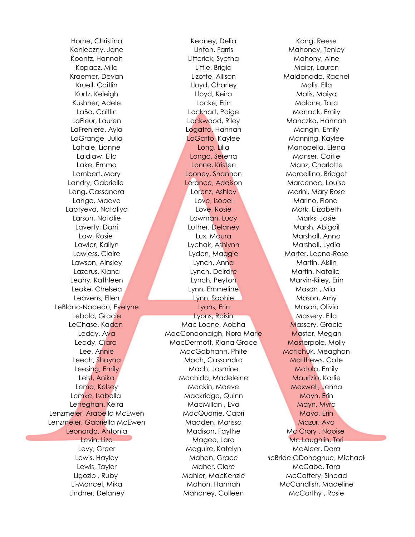Horne, Christina **Keaney, Delia Kong, Kease** Kong, Reese Konieczny, Jane **Linton, Farris Mahoney, Tenley** Controllery, Tenley Koontz, Hannah Litterick, Syetha Mahony, Aine Kopacz, Mila Little, Brigid Maier, Lauren Kraemer, Devan **Mallonado, Rachel** Lizotte, Allison **Maldonado, Rachel** Kruell, Caitlin **Caitlin** Charley Charley Malis, Ella Kurtz, Keleigh Lloyd, Keira Malis, Maiya Kushner, Adele **Locke, Erin Malone, Tara** LaBo, Caitlin **Lockhart**, Paige Manack, Emily LaFleur, Lauren **Lockwood, Riley Manczko, Hannah** LaFreniere, Ayla **Logatto, Logatto, Hannah Mangin, Emily** LaGrange, Julia LoGatto, Kaylee Manning, Kaylee Lahaie, Lianne Long, Lilia Manopella, Elena Laidlaw, Ella Longo, Serena Manser, Caitie Lake, Emma Lonne, Kristen Manz, Charlotte Lambert, Mary **Lambert, Mary Looney, Shannon** Marcellino, Bridget Landry, Gabrielle **Lorance, Addison** Marcenac, Louise Lang, Cassandra **Lorenz, Ashley Marini, Mary Rose** Lorenz, Ashley Marini, Mary Rose Lange, Maeve **Love, Isobel Marino, Fiona** Laptyeva, Nataliya **Love, Rosie Mark, Elizabeth** Larson, Natalie Lowman, Lucy Marks, Josie Laverty, Dani **Luther, Delaney Marsh, Abigail** Lawler, Kailyn Lychak, Ashlynn Marshall, Lydia Lawson, Ainsley **Lynch, Anna Martin, Aislin** Lazarus, Kiana **Martin, Natalie Lynch, Deirdre Martin, Natalie** Leahy, Kathleen Lynch, Peyton Marvin-Riley, Erin Leake, Chelsea Lynn, Emmeline Mason , Mia Leavens, Ellen **Lynn, Sophie Mason, Amy Lynn, Sophie Mason**, Amy LeBlanc-Nadeau, Evelyne Lyons, Erin Lyons, Erin Mason, Olivia Lebold, Gracie **Lyons, Roisin Massery, Ella** LeChase, Kaden Mac Loone, Aobha Massery, Gracie

Law, Rosie Lux, Maura Marshall, Anna

Leddy, Ava MacConaonaigh, Nora Marie Master, Megan Leddy, Ciara **MacDermott, Riana Grace Matterpole, Molly** Lee, Annie MacGabhann, Phife Matichuk, Meaghan Leech, Shayna **Mach, Cassandra** Mach, Cassandra Matthews, Cate Leesing, Emily **Mach, Jasmine Matula, Emily Matula**, Emily Leist, Anika Machida, Madeleine Maurizio, Karlie Lema, Kelsey Mackin, Maeve Maxwell, Jenna Lemke, Isabella Mackridge, Quinn Mayn, Erin Leneghan, Keira MacMillan , Eva Machillan , Eva Mayn, Myra Lenzmeier, Arabella McEwen MacQuarrie, Capri Mayo, Erin Lenzmeier, Gabriella McEwen Madden, Marissa Mazur, Ava Leonardo, Antonia Madison, Faythe Mc Crory , Naoise Levin, Liza **Magee, Lara Magee, Lara** Mc Laughlin, Torí Levy, Greer Maguire, Katelyn McAleer, Dara Lewis, Hayley **Mahan, Grace** McBride ODonoghue, Michaela Lewis, Taylor **Maher, Clare** Maher, Clare McCabe, Tara Ligozio , Ruby **Mahler, MacKenzie** McCaffery, Sinead Li-Moncel, Mika Mahon, Hannah McCandlish, Madeline Lindner, Delaney Mahoney, Colleen McCarthy , Rosie

Lawless, Claire **Lawless, Claire Lyden, Maggie Marter, Leena-Rose**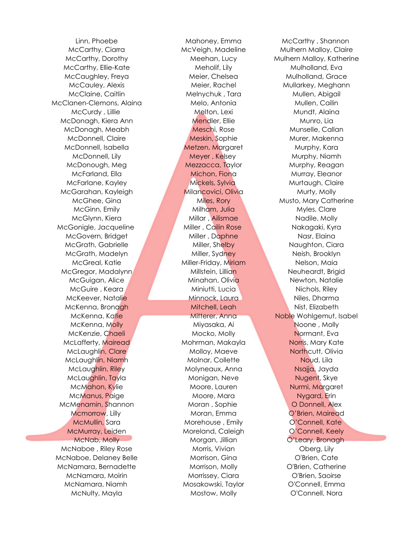McCarthy, Ellie-Kate **Mulholland, Meholif, Lily Mulholland, Eva** McCaughley, Freya **Meier, Chelsea** Mulholland, Grace McClanen-Clemons, Alaina **Melo, Melo, Antonia** Mullen, Cailin McDonagh, Kiera Ann **Mendler**, Ellie Munro, Lia McDonagh, Meabh Meschi, Rose Munselle, Callan McDonnell, Isabella **Metzen, Margaret Murphy, Kara** McGarahan, Kayleigh **Milancovici, Olivia** Murty, Molly McGonigle, Jacqueline Miller , Cailin Rose Nakagaki, Kyra McGregor, Madalynn Millstein, Lillian Neuheardt, Brigid McLafferty, Mairead Mohrman, Makayla Norris, Mary Kate McMenamin, Shannon Moran , Sophie O Donnell, Alex McNaboe , Riley Rose Morris, Vivian Oberg, Lily McNaboe, Delaney Belle Morrison, Gina O'Brien, Cate McNamara, Bernadette Morrison, Molly C'Brien, Catherine McNamara, Niamh Mosakowski, Taylor O'Connell, Emma McNulty, Mayla Mostow, Molly O'Connell, Nora

Linn, Phoebe Mahoney, Emma McCarthy , Shannon McClaine, Caitlin Melnychuk , Tara Mullen, Abigail McCurdy, Lillie Melton, Lexi Melton, Lexi Mundt, Alaina McDonnell, Claire **MacConnell, Claire Murer, MacConnell, Claire** Murer, Makenna McDonnell, Lily **Meyer, Kelsey Multiple Murphy, Niamh** McDonough, Meg **Mezzacca, Taylor Murphy, Reagan** McFarland, Ella Michon, Fiona Murray, Eleanor McFarlane, Kayley **Mickels, Sylvia** Murtaugh, Claire McGinn, Emily **Milham, Julia Milham, Julia Myles, Clare** McGlynn, Kiera **Millar** , Ailismae Nadile, Molly McGovern, Bridget Miller , Daphne Nasr, Elaina McGrath, Gabrielle **Miller, Shelby Naughton, Ciara** McGrath, Madelyn Miller, Sydney Neish, Brooklyn McGreal, Katie Martin Miller-Friday, Miriam Nelson, Maia McGuigan, Alice Minahan, Olivia Newton, Natalie McGuire , Keara **Miniutti, Lucia Nichols, Riley** Nichols, Riley McKeever, Natalie Minnock, Laura Niles, Dharma McKenna, Bronagh Mitchell, Leah Nist, Elizabeth McKenna, M<mark>olly Christian Mixasaka, Ai Noone , Molly Noone , Molly Noone , Molly Noone , Molly Noone , Molly No</mark> McKenzie, Chaeli Mocko, Molly Normant, Eva McLaughlin, Clare **Molloy, Maeve** Molloy, Maeve Northcutt, Olivia McLaugh<mark>lin, Niam</mark>h Molnar, Collette Molnar, Collette Noud, Lila McLaughlin, Riley Molyneaux, Anna Nsajja, Jayda McLaughlin, Tayla **Monigan, Neve** Nugent, Skye McMahon, Kylie **Moore, Lauren Nurmi, Margaret** Nurmi, Margaret McManus, Paige **Moore, Mara Nigard, Erin** Moore, Mara Nigard, Erin Mcmorrow, Lilly **Moran, Emma** O'Brien, Mairead McMullin, Sara **Morehouse** , Emily **McMullin**, Sara Morehouse , Emily **Connell**, Kate McMurray, Leiden **Moreland, Caleigh** O'Connell, Keely McNab, Molly Morgan, Jillian Morgan, Jillian O'Leary, Bronagh McNamara, Moirin Morrissey, Ciara O'Brien, Saoirse

McCarthy, Ciarra **McVeigh, Madeline** Mulhern Malloy, Claire McCarthy, Dorothy **Meehan, Lucy Mulhern Malloy, Katherine** McCauley, Alexis **Meier, Rachel Mullarkey, Meghann** McGhee, Gina Miles, Rory Miles, Rory Musto, Mary Catherine McKenna, Katie **Mitterer, Anna Noble Wohlgemut, Isabel**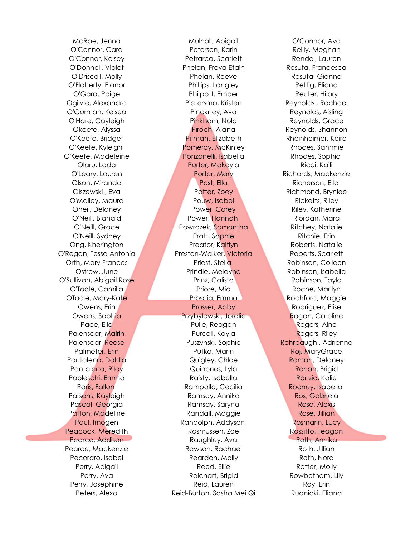McRae, Jenna Mulhall, Abigail O'Connor, Ava O'Connor, Cara Peterson, Karin Reilly, Meghan O'Connor, Kelsey Petrarca, Scarlett Rendel, Lauren O'Donnell, Violet Phelan, Freya Etain Resuta, Francesca O'Driscoll, Molly Phelan, Reeve Resuta, Gianna O'Flaherty, Elanor Phillips, Langley Rettig, Eliana O'Gara, Paige **Philpott, Ember** Philpott, Ember Reuter, Hilary Ogilvie, Alexandra Pietersma, Kristen Reynolds , Rachael O'Gorman, Kelsea Pinckney, Ava Reynolds, Aisling O'Hare, Cayleigh Pinkham, Nola Reynolds, Grace Okeefe, Alyssa **Piroch, Alana** Reynolds, Shannon O'Keefe, Bridget **Pitman, Elizabeth Rheinheimer, Keira** O'Keefe, Kyleigh **Pomeroy, McKinley Rhodes, Sammie** O'Keefe, Madeleine Ponzanelli, Isabella Rhodes, Sophia Olaru, Lada Porter, Makayla Ricci, Kaili O'Leary, Lauren **Richards, Mackenzie** Porter, Mary **Richards, Mackenzie** Olson, Miranda Post, Ella Richerson, Ella Olszewski , Eva Potter, Zoey Richmond, Brynlee O'Malley, Maura Pouw, Isabel Ricketts, Riley Oneil, Delaney Power, Carey Riley, Katherine O'Neill, Blanaid Power, Hannah Riordan, Mara O'Neill, Grace Powrozek, Samantha Ritchey, Natalie O'Neill, Sydney Pratt, Sophie Ritchie, Erin Ong, Kherington Preator, Kaitlyn Roberts, Natalie O'Regan, Tessa Antonia Preston-Walker, Victoria Roberts, Scarlett Orth, Mary Frances Priest, Stella Robinson, Colleen Ostrow, June **Prindle, Melayna Robinson, Isabella** O'Sullivan, Abigail Rose Prinz, Calista Robinson, Tayla O'Toole, Camilla **Priore, Mia Roche, Marilyn** Roche, Marilyn OToole, Mary-Kate Proscia, Emma Rochford, Maggie Owens, Erin **Prosser, Abby Rodriguez, Elise** Rodriguez, Elise Owens, Sophia Przybylowski, Joralie Rogan, Caroline Pace, Ella **Pulie, Reagan Rogers, Aine** Palenscar, Mairin **Purcell, Kayla** Rogers, Riley Palenscar, Reese Puszynski, Sophie Rohrbaugh , Adrienne Palmeter, Erin Putka, Marin Roj, MaryGrace Pantalena, Dahlia **Roman, Christian Communist Communist Communist Communist Communist Communist Communist Communist Communist Communist Communist Communist Communist Communist Communist Communist Communist Communist Commun** Pantalena, Riley Communication Communication Communication Roman, Brigid Paoleschi, Emma Raisty, Isabella Ronzio, Kalie Paris, Fallon **Rampolla, Cecilia** Rooney, Isabella Parsons, Kayleigh **Ramsay, Annika** Ros, Gabriela Pascal, Georgia **Ramsay, Saryna Rose, Alexis** Rose, Alexis Patton, Madeline **Randall, Maggie Rose, Jillian** Paul, Imogen **Randolph, Addyson** Rosmarin, Lucy Peacock, Meredith **Rasmussen, Zoe Rossitto, Teagan** Pearce, Addison Raughley, Ava Roth, Annika Pearce, Mackenzie Rawson, Rachael Roth, Jillian Pecoraro, Isabel **Reardon, Molly Roth, Noral Roth, Noral Roth**, Noral Roth, Noral Roth, Noral Roth, Noral Roth, Noral Roth, Noral Roth, Noral Roth, Noral Roth, Noral Roth, Noral Roth, Noral Roth, Noral Roth, Noral Roth, No Perry, Abigail **Reed, Ellie Rotter, Molly** Rotter, Molly Perry, Ava **Reichart, Brigid Rowbotham, Lily** Perry, Josephine **Reid, Lauren Reid, Lauren** Roy, Erin Peters, Alexa Reid-Burton, Sasha Mei Qi Rudnicki, Eliana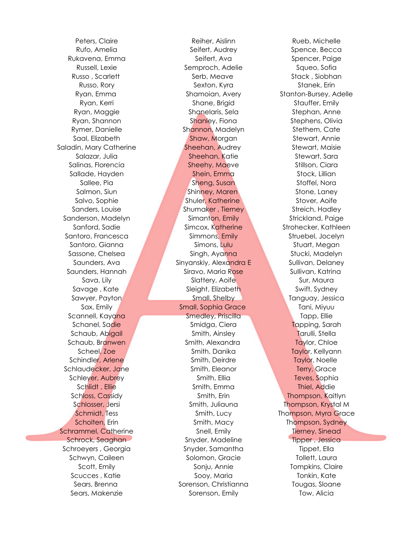Saladin, Mary Catherine **Sheehan, Audrey Stewart, Maisie** Stewart, Maisie

Peters, Claire **Reiher, Aislinn** Rueb, Michelle Rufo, Amelia Seifert, Audrey Spence, Becca Rukavena, Emma Seifert, Ava Spencer, Paige Russell, Lexie Semproch, Adelie Squeo, Sofia Russo , Scarlett Serb, Meave Serb, Meave Stack , Siobhan Russo, Rory Sexton, Kyra Sexton, Kyra Stanek, Erin Ryan, Emma Shamoian, Avery Stanton-Bursey, Adelle Ryan, Kerri Shane, Brigid Stauffer, Emily Ryan, Maggie Shanelaris, Sela Stephan, Anne Ryan, Shannon Shanley, Fiona Stephens, Olivia Rymer, Danielle Sh<mark>annon</mark>, Madelyn Stethem, Cate Saal, Elizabeth Shaw, Morgan Stewart, Annie Salazar, Julia Sheehan, Katie Stewart, Sara Salinas, Florencia **Sheehy, Markt Charles Stillson, Ciara** Sallade, Hayden Shein, Emma Shock, Lillian Sallee, Pia Sheng, Susan Sheng, Susan Stoffel, Nora Salmon, Siun Shinney, Maren Stone, Laney Salvo, Sophie Shuler, Katherine Stover, Aoife Sanders, Louise **Shumaker**, Tierney Streich, Hadley Sanderson, Madelyn Simanton, Emily Strickland, Paige Sanford, Sadie Simcox, Katherine Strohecker, Kathleen Santoro, Francesca **Simmons, Emily Struebel, Jocelyn** Santoro, Gianna Santoro, Simons, Lulu Stuart, Megan Sassone, Chelsea **Singh, Ayanna Stucki, Madelyn** Saunders, Ava Sinyanskiy, Alexandra E Sullivan, Delaney Saunders, Hannah Siravo, Maria Rose Sullivan, Katrina Sava, Lily Slattery, Aoife Sur, Maura Savage , Kate Suite Sleight, Elizabeth Swift, Sydney Sawyer, Payton Small, Shelby Tanguay, Jessica Sax, Emily Small, Sophia Grace Tani, Miyuu Scannell, Kayana Smedley, Priscilla Tapp, Ellie Schanel, Sadie Smidga, Ciera Tapping, Sarah Schaub, Abi<mark>gail Smith, Ainsley Tarulli, Stella</mark> Schaub, Branwen Smith, Alexandra Taylor, Chloe Scheel, Zoe Southern Smith, Danika Taylor, Kellyann Schindler, Arlene Smith, Deirdre Smith, Deirdre Taylor, Noelle Schlaudecker, Jane Smith, Eleanor Smith, Eleanor Terry, Grace Schley<del>er, Aubre</del>y **Smith, Ellia Teves, Sophia** Schlidt , Ellie Smith, Emma Smith, Emma Thiel, Addie Schloss, Cassidy Smith, Erin Smith, Erin Thompson, Kaitlyn Schlosser, Jersi Samith, Juliauna Smith, Juliauna Thompson, Krystal M Schmidt, Tess Smith, Lucy Thompson, Myra Grace Scholten, Erin Samith, Macy Thompson, Sydney Smith, Macy Schrammel, Catherine Snell, Emily Snell, Emily Tierney, Sinead Schrock, Seaghan Snyder, Madeline Tipper, Jessica Schroeyers , Georgia Snyder, Samantha Tippet, Ella Schwyn, Caileen Solomon, Gracie Tollett, Laura Scott, Emily **Sonju, Annie** Tompkins, Claire Scucces , Katie Tomas Sooy, Maria Tonkin, Kate Sears, Brenna Sorenson, Christianna Tougas, Sloane Sears, Makenzie The Sorenson, Emily Tow, Alicia